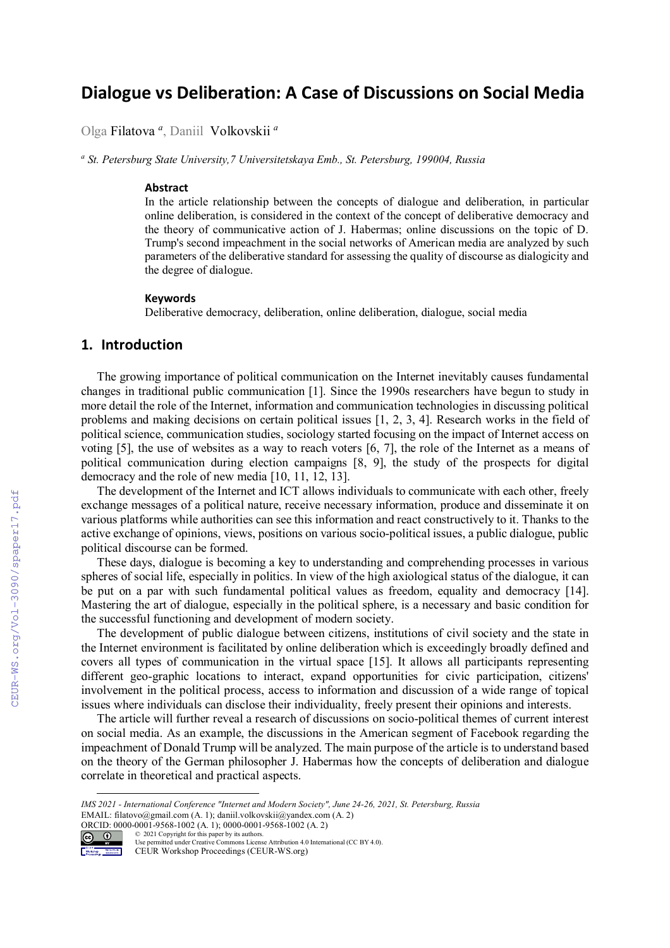# **Dialogue vs Deliberation: A Case of Discussions on Social Media**

Olga Filatova *<sup>a</sup>* , Daniil Volkovskii *<sup>a</sup>*

*a St. Petersburg State University,7 Universitetskaya Emb., St. Petersburg, 199004, Russia* 

#### **Abstract**

In the article relationship between the concepts of dialogue and deliberation, in particular online deliberation, is considered in the context of the concept of deliberative democracy and the theory of communicative action of J. Habermas; online discussions on the topic of D. Trump's second impeachment in the social networks of American media are analyzed by such parameters of the deliberative standard for assessing the quality of discourse as dialogicity and the degree of dialogue.

#### **Keywords**

Deliberative democracy, deliberation, online deliberation, dialogue, social media

### **1. Introduction**

The growing importance of political communication on the Internet inevitably causes fundamental changes in traditional public communication [1]. Since the 1990s researchers have begun to study in more detail the role of the Internet, information and communication technologies in discussing political problems and making decisions on certain political issues [1, 2, 3, 4]. Research works in the field of political science, communication studies, sociology started focusing on the impact of Internet access on voting [5], the use of websites as a way to reach voters [6, 7], the role of the Internet as a means of political communication during election campaigns [8, 9], the study of the prospects for digital democracy and the role of new media [10, 11, 12, 13].

The development of the Internet and ICT allows individuals to communicate with each other, freely exchange messages of a political nature, receive necessary information, produce and disseminate it on various platforms while authorities can see this information and react constructively to it. Thanks to the active exchange of opinions, views, positions on various socio-political issues, a public dialogue, public political discourse can be formed.

These days, dialogue is becoming a key to understanding and comprehending processes in various spheres of social life, especially in politics. In view of the high axiological status of the dialogue, it can be put on a par with such fundamental political values as freedom, equality and democracy [14]. Mastering the art of dialogue, especially in the political sphere, is a necessary and basic condition for the successful functioning and development of modern society.

The development of public dialogue between citizens, institutions of civil society and the state in the Internet environment is facilitated by online deliberation which is exceedingly broadly defined and covers all types of communication in the virtual space [15]. It allows all participants representing different geo-graphic locations to interact, expand opportunities for civic participation, citizens' involvement in the political process, access to information and discussion of a wide range of topical issues where individuals can disclose their individuality, freely present their opinions and interests.

The article will further reveal a research of discussions on socio-political themes of current interest on social media. As an example, the discussions in the American segment of Facebook regarding the impeachment of Donald Trump will be analyzed. The main purpose of the article is to understand based on the theory of the German philosopher J. Habermas how the concepts of deliberation and dialogue correlate in theoretical and practical aspects.

*IMS 2021 - International Conference "Internet and Modern Society", June 24-26, 2021, St. Petersburg, Russia* EMAIL: filatovo@gmail.com (A. 1); daniil.volkovskii@yandex.com (A. 2)



CEUR Workshop Proceedings (CEUR-WS.org)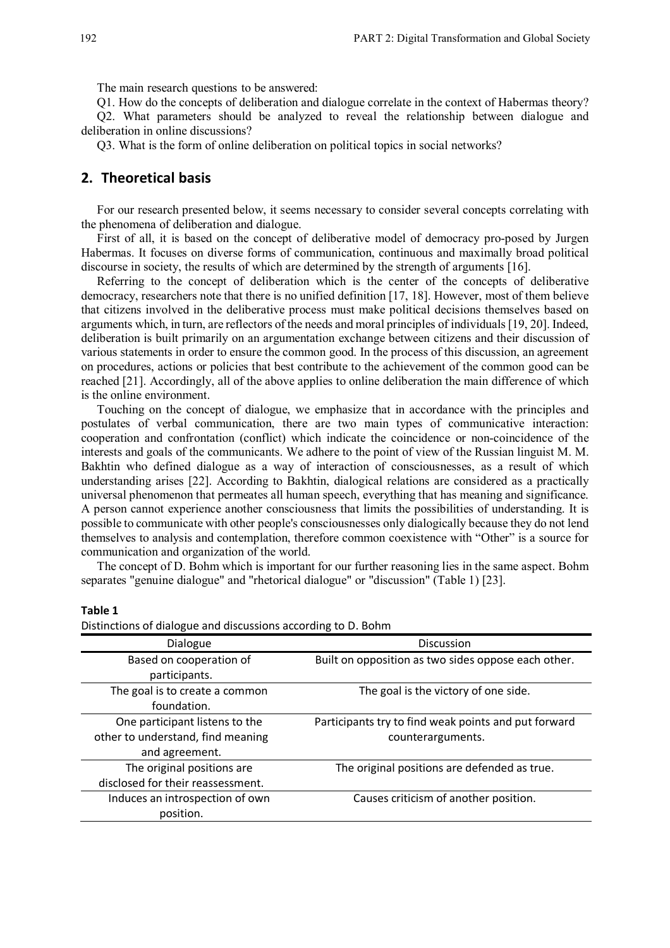The main research questions to be answered:

Q1. How do the concepts of deliberation and dialogue correlate in the context of Habermas theory?

Q2. What parameters should be analyzed to reveal the relationship between dialogue and deliberation in online discussions?

Q3. What is the form of online deliberation on political topics in social networks?

### **2. Theoretical basis**

For our research presented below, it seems necessary to consider several concepts correlating with the phenomena of deliberation and dialogue.

First of all, it is based on the concept of deliberative model of democracy pro-posed by Jurgen Habermas. It focuses on diverse forms of communication, continuous and maximally broad political discourse in society, the results of which are determined by the strength of arguments [16].

Referring to the concept of deliberation which is the center of the concepts of deliberative democracy, researchers note that there is no unified definition [17, 18]. However, most of them believe that citizens involved in the deliberative process must make political decisions themselves based on arguments which, in turn, are reflectors of the needs and moral principles of individuals [19, 20]. Indeed, deliberation is built primarily on an argumentation exchange between citizens and their discussion of various statements in order to ensure the common good. In the process of this discussion, an agreement on procedures, actions or policies that best contribute to the achievement of the common good can be reached [21]. Accordingly, all of the above applies to online deliberation the main difference of which is the online environment.

Touching on the concept of dialogue, we emphasize that in accordance with the principles and postulates of verbal communication, there are two main types of communicative interaction: cooperation and confrontation (conflict) which indicate the coincidence or non-coincidence of the interests and goals of the communicants. We adhere to the point of view of the Russian linguist M. M. Bakhtin who defined dialogue as a way of interaction of consciousnesses, as a result of which understanding arises [22]. According to Bakhtin, dialogical relations are considered as a practically universal phenomenon that permeates all human speech, everything that has meaning and significance. A person cannot experience another consciousness that limits the possibilities of understanding. It is possible to communicate with other people's consciousnesses only dialogically because they do not lend themselves to analysis and contemplation, therefore common coexistence with "Other" is a source for communication and organization of the world.

The concept of D. Bohm which is important for our further reasoning lies in the same aspect. Bohm separates "genuine dialogue" and "rhetorical dialogue" or "discussion" (Table 1) [23].

#### **Table 1**

Distinctions of dialogue and discussions according to D. Bohm

| Dialogue                                                                              | Discussion                                                                |
|---------------------------------------------------------------------------------------|---------------------------------------------------------------------------|
| Based on cooperation of<br>participants.                                              | Built on opposition as two sides oppose each other.                       |
| The goal is to create a common<br>foundation.                                         | The goal is the victory of one side.                                      |
| One participant listens to the<br>other to understand, find meaning<br>and agreement. | Participants try to find weak points and put forward<br>counterarguments. |
| The original positions are<br>disclosed for their reassessment.                       | The original positions are defended as true.                              |
| Induces an introspection of own<br>position.                                          | Causes criticism of another position.                                     |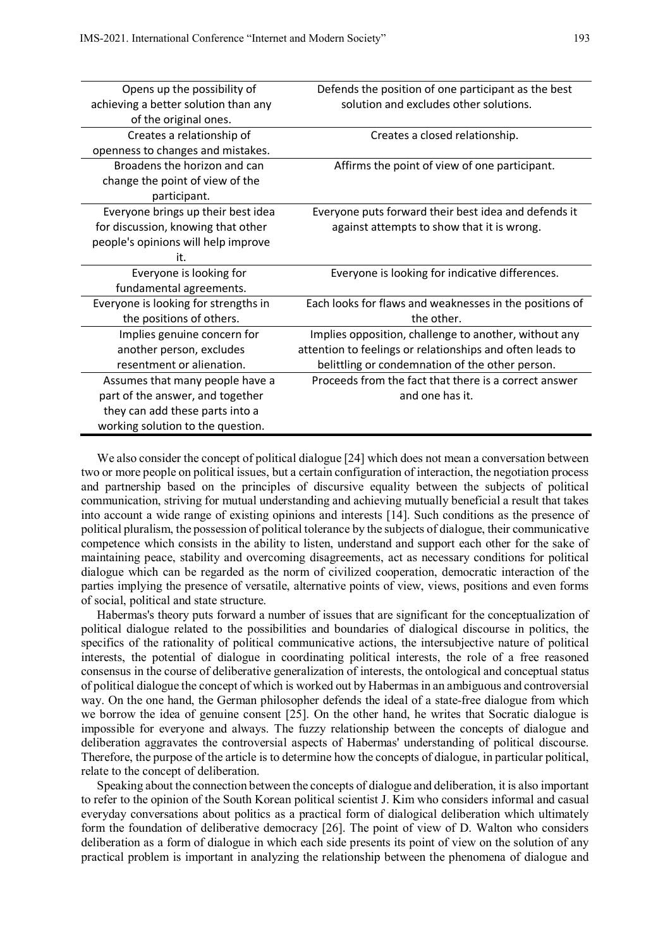| Opens up the possibility of          | Defends the position of one participant as the best       |
|--------------------------------------|-----------------------------------------------------------|
| achieving a better solution than any | solution and excludes other solutions.                    |
| of the original ones.                |                                                           |
| Creates a relationship of            | Creates a closed relationship.                            |
| openness to changes and mistakes.    |                                                           |
| Broadens the horizon and can         | Affirms the point of view of one participant.             |
| change the point of view of the      |                                                           |
| participant.                         |                                                           |
| Everyone brings up their best idea   | Everyone puts forward their best idea and defends it      |
| for discussion, knowing that other   | against attempts to show that it is wrong.                |
| people's opinions will help improve  |                                                           |
| it.                                  |                                                           |
| Everyone is looking for              | Everyone is looking for indicative differences.           |
| fundamental agreements.              |                                                           |
| Everyone is looking for strengths in | Each looks for flaws and weaknesses in the positions of   |
| the positions of others.             | the other.                                                |
| Implies genuine concern for          | Implies opposition, challenge to another, without any     |
| another person, excludes             | attention to feelings or relationships and often leads to |
| resentment or alienation.            | belittling or condemnation of the other person.           |
| Assumes that many people have a      | Proceeds from the fact that there is a correct answer     |
| part of the answer, and together     | and one has it.                                           |
| they can add these parts into a      |                                                           |
| working solution to the question.    |                                                           |

We also consider the concept of political dialogue [24] which does not mean a conversation between two or more people on political issues, but a certain configuration of interaction, the negotiation process and partnership based on the principles of discursive equality between the subjects of political communication, striving for mutual understanding and achieving mutually beneficial a result that takes into account a wide range of existing opinions and interests [14]. Such conditions as the presence of political pluralism, the possession of political tolerance by the subjects of dialogue, their communicative competence which consists in the ability to listen, understand and support each other for the sake of maintaining peace, stability and overcoming disagreements, act as necessary conditions for political dialogue which can be regarded as the norm of civilized cooperation, democratic interaction of the parties implying the presence of versatile, alternative points of view, views, positions and even forms of social, political and state structure.

Habermas's theory puts forward a number of issues that are significant for the conceptualization of political dialogue related to the possibilities and boundaries of dialogical discourse in politics, the specifics of the rationality of political communicative actions, the intersubjective nature of political interests, the potential of dialogue in coordinating political interests, the role of a free reasoned consensus in the course of deliberative generalization of interests, the ontological and conceptual status of political dialogue the concept of which is worked out by Habermas in an ambiguous and controversial way. On the one hand, the German philosopher defends the ideal of a state-free dialogue from which we borrow the idea of genuine consent [25]. On the other hand, he writes that Socratic dialogue is impossible for everyone and always. The fuzzy relationship between the concepts of dialogue and deliberation aggravates the controversial aspects of Habermas' understanding of political discourse. Therefore, the purpose of the article is to determine how the concepts of dialogue, in particular political, relate to the concept of deliberation.

Speaking about the connection between the concepts of dialogue and deliberation, it is also important to refer to the opinion of the South Korean political scientist J. Kim who considers informal and casual everyday conversations about politics as a practical form of dialogical deliberation which ultimately form the foundation of deliberative democracy [26]. The point of view of D. Walton who considers deliberation as a form of dialogue in which each side presents its point of view on the solution of any practical problem is important in analyzing the relationship between the phenomena of dialogue and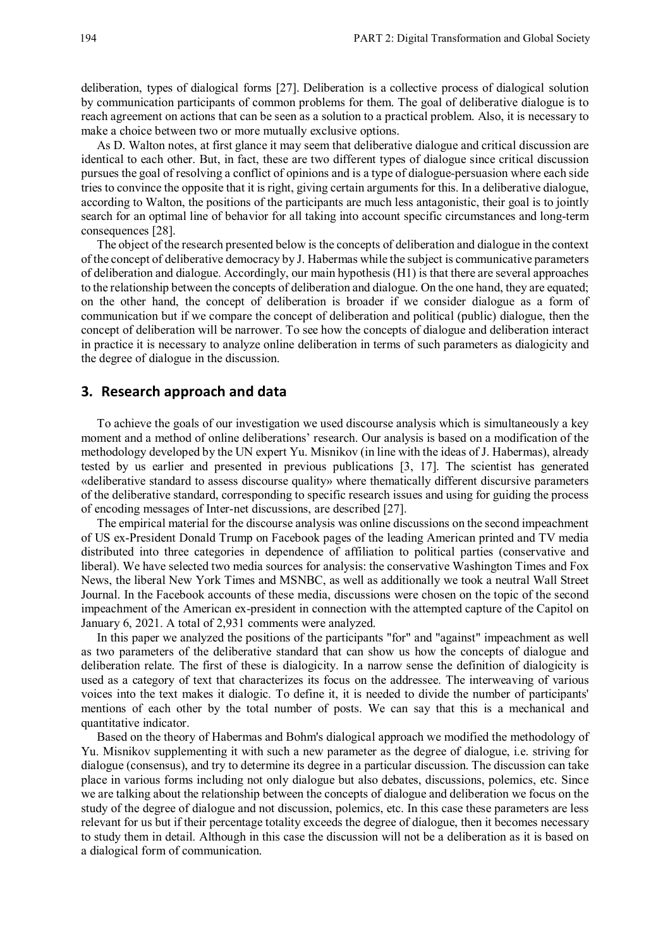deliberation, types of dialogical forms [27]. Deliberation is a collective process of dialogical solution by communication participants of common problems for them. The goal of deliberative dialogue is to reach agreement on actions that can be seen as a solution to a practical problem. Also, it is necessary to make a choice between two or more mutually exclusive options.

As D. Walton notes, at first glance it may seem that deliberative dialogue and critical discussion are identical to each other. But, in fact, these are two different types of dialogue since critical discussion pursues the goal of resolving a conflict of opinions and is a type of dialogue-persuasion where each side tries to convince the opposite that it is right, giving certain arguments for this. In a deliberative dialogue, according to Walton, the positions of the participants are much less antagonistic, their goal is to jointly search for an optimal line of behavior for all taking into account specific circumstances and long-term consequences [28].

The object of the research presented below is the concepts of deliberation and dialogue in the context of the concept of deliberative democracy by J. Habermas while the subject is communicative parameters of deliberation and dialogue. Accordingly, our main hypothesis (H1) is that there are several approaches to the relationship between the concepts of deliberation and dialogue. On the one hand, they are equated; on the other hand, the concept of deliberation is broader if we consider dialogue as a form of communication but if we compare the concept of deliberation and political (public) dialogue, then the concept of deliberation will be narrower. To see how the concepts of dialogue and deliberation interact in practice it is necessary to analyze online deliberation in terms of such parameters as dialogicity and the degree of dialogue in the discussion.

#### **3. Research approach and data**

To achieve the goals of our investigation we used discourse analysis which is simultaneously a key moment and a method of online deliberations' research. Our analysis is based on a modification of the methodology developed by the UN expert Yu. Misnikov (in line with the ideas of J. Habermas), already tested by us earlier and presented in previous publications [3, 17]. The scientist has generated «deliberative standard to assess discourse quality» where thematically different discursive parameters of the deliberative standard, corresponding to specific research issues and using for guiding the process of encoding messages of Inter-net discussions, are described [27].

The empirical material for the discourse analysis was online discussions on the second impeachment of US ex-President Donald Trump on Facebook pages of the leading American printed and TV media distributed into three categories in dependence of affiliation to political parties (conservative and liberal). We have selected two media sources for analysis: the conservative Washington Times and Fox News, the liberal New York Times and MSNBC, as well as additionally we took a neutral Wall Street Journal. In the Facebook accounts of these media, discussions were chosen on the topic of the second impeachment of the American ex-president in connection with the attempted capture of the Capitol on January 6, 2021. A total of 2,931 comments were analyzed.

In this paper we analyzed the positions of the participants "for" and "against" impeachment as well as two parameters of the deliberative standard that can show us how the concepts of dialogue and deliberation relate. The first of these is dialogicity. In a narrow sense the definition of dialogicity is used as a category of text that characterizes its focus on the addressee. The interweaving of various voices into the text makes it dialogic. To define it, it is needed to divide the number of participants' mentions of each other by the total number of posts. We can say that this is a mechanical and quantitative indicator.

Based on the theory of Habermas and Bohm's dialogical approach we modified the methodology of Yu. Misnikov supplementing it with such a new parameter as the degree of dialogue, i.e. striving for dialogue (consensus), and try to determine its degree in a particular discussion. The discussion can take place in various forms including not only dialogue but also debates, discussions, polemics, etc. Since we are talking about the relationship between the concepts of dialogue and deliberation we focus on the study of the degree of dialogue and not discussion, polemics, etc. In this case these parameters are less relevant for us but if their percentage totality exceeds the degree of dialogue, then it becomes necessary to study them in detail. Although in this case the discussion will not be a deliberation as it is based on a dialogical form of communication.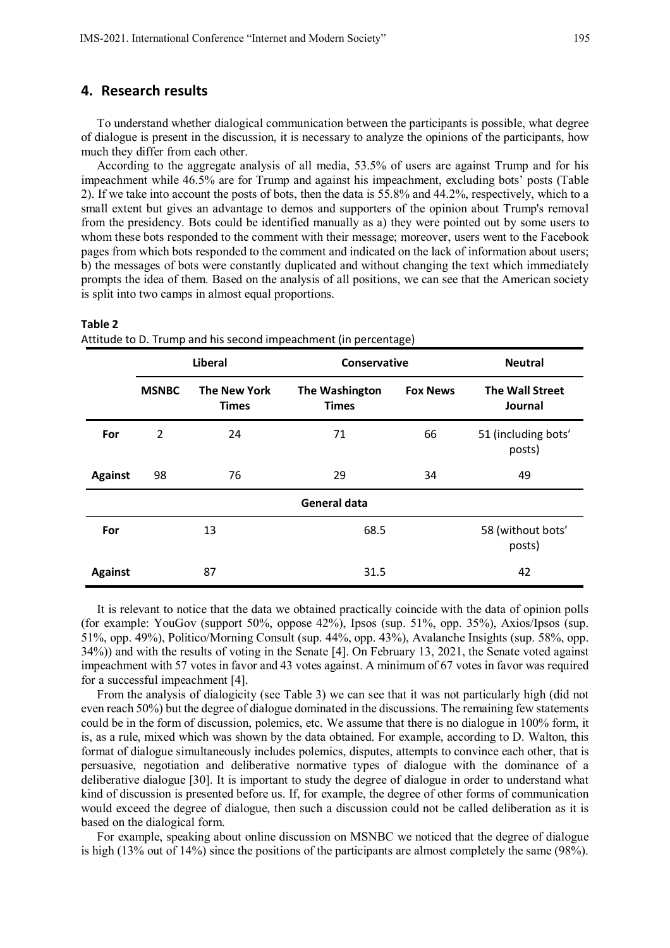#### **4. Research results**

To understand whether dialogical communication between the participants is possible, what degree of dialogue is present in the discussion, it is necessary to analyze the opinions of the participants, how much they differ from each other.

According to the aggregate analysis of all media, 53.5% of users are against Trump and for his impeachment while 46.5% are for Trump and against his impeachment, excluding bots' posts (Table 2). If we take into account the posts of bots, then the data is 55.8% and 44.2%, respectively, which to a small extent but gives an advantage to demos and supporters of the opinion about Trump's removal from the presidency. Bots could be identified manually as a) they were pointed out by some users to whom these bots responded to the comment with their message; moreover, users went to the Facebook pages from which bots responded to the comment and indicated on the lack of information about users; b) the messages of bots were constantly duplicated and without changing the text which immediately prompts the idea of them. Based on the analysis of all positions, we can see that the American society is split into two camps in almost equal proportions.

|                     | $\overline{\phantom{a}}$ |                                     |                                |                 |                                   |  |  |  |
|---------------------|--------------------------|-------------------------------------|--------------------------------|-----------------|-----------------------------------|--|--|--|
|                     | <b>Liberal</b>           |                                     | Conservative                   |                 | <b>Neutral</b>                    |  |  |  |
|                     | <b>MSNBC</b>             | <b>The New York</b><br><b>Times</b> | The Washington<br><b>Times</b> | <b>Fox News</b> | <b>The Wall Street</b><br>Journal |  |  |  |
| For                 | $\overline{2}$           | 24                                  | 71                             | 66              | 51 (including bots'<br>posts)     |  |  |  |
| <b>Against</b>      | 98                       | 76                                  | 29                             | 34              | 49                                |  |  |  |
| <b>General data</b> |                          |                                     |                                |                 |                                   |  |  |  |
| For                 | 13                       |                                     | 68.5                           |                 | 58 (without bots'<br>posts)       |  |  |  |
| <b>Against</b>      | 87                       |                                     | 31.5                           |                 |                                   |  |  |  |

#### **Table 2**

Attitude to D. Trump and his second impeachment (in percentage)

It is relevant to notice that the data we obtained practically coincide with the data of opinion polls (for example: YouGov (support 50%, oppose 42%), Ipsos (sup. 51%, opp. 35%), Axios/Ipsos (sup. 51%, opp. 49%), Politico/Morning Consult (sup. 44%, opp. 43%), Avalanche Insights (sup. 58%, opp. 34%)) and with the results of voting in the Senate [4]. On February 13, 2021, the Senate voted against impeachment with 57 votes in favor and 43 votes against. A minimum of 67 votes in favor was required for a successful impeachment [4].

From the analysis of dialogicity (see Table 3) we can see that it was not particularly high (did not even reach 50%) but the degree of dialogue dominated in the discussions. The remaining few statements could be in the form of discussion, polemics, etc. We assume that there is no dialogue in 100% form, it is, as a rule, mixed which was shown by the data obtained. For example, according to D. Walton, this format of dialogue simultaneously includes polemics, disputes, attempts to convince each other, that is persuasive, negotiation and deliberative normative types of dialogue with the dominance of a deliberative dialogue [30]. It is important to study the degree of dialogue in order to understand what kind of discussion is presented before us. If, for example, the degree of other forms of communication would exceed the degree of dialogue, then such a discussion could not be called deliberation as it is based on the dialogical form.

For example, speaking about online discussion on MSNBC we noticed that the degree of dialogue is high (13% out of 14%) since the positions of the participants are almost completely the same (98%).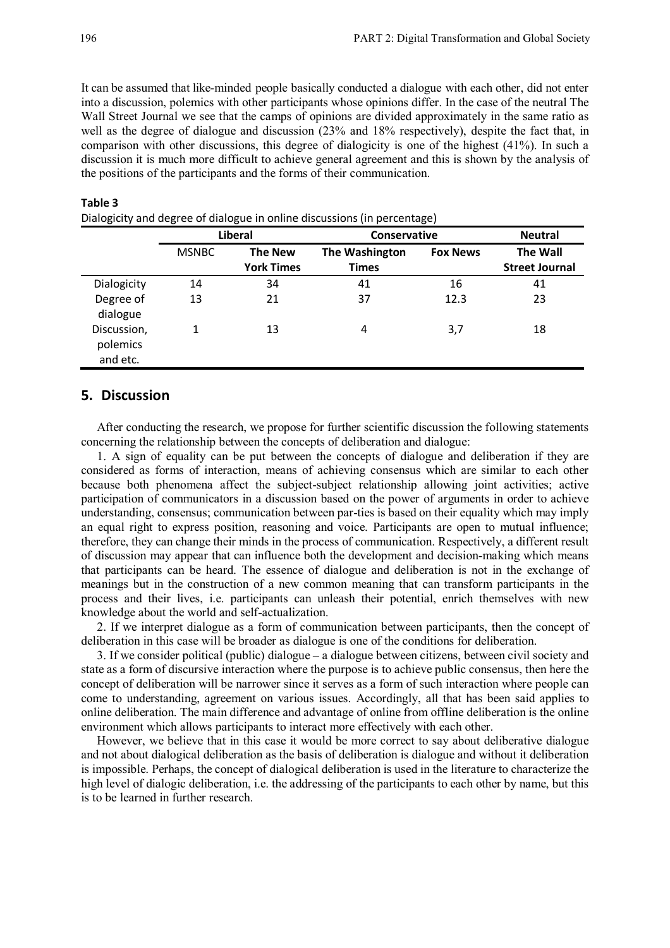It can be assumed that like-minded people basically conducted a dialogue with each other, did not enter into a discussion, polemics with other participants whose opinions differ. In the case of the neutral The Wall Street Journal we see that the camps of opinions are divided approximately in the same ratio as well as the degree of dialogue and discussion (23% and 18% respectively), despite the fact that, in comparison with other discussions, this degree of dialogicity is one of the highest (41%). In such a discussion it is much more difficult to achieve general agreement and this is shown by the analysis of the positions of the participants and the forms of their communication.

|                                     | Liberal      |                                     | <b>Conservative</b>            |                 | <b>Neutral</b>                           |
|-------------------------------------|--------------|-------------------------------------|--------------------------------|-----------------|------------------------------------------|
|                                     | <b>MSNBC</b> | <b>The New</b><br><b>York Times</b> | The Washington<br><b>Times</b> | <b>Fox News</b> | <b>The Wall</b><br><b>Street Journal</b> |
| Dialogicity                         | 14           | 34                                  | 41                             | 16              | 41                                       |
| Degree of<br>dialogue               | 13           | 21                                  | 37                             | 12.3            | 23                                       |
| Discussion,<br>polemics<br>and etc. | 1            | 13                                  | 4                              | 3,7             | 18                                       |

#### **Table 3**

Dialogiсity and degree of dialogue in online discussions (in percentage)

### **5. Discussion**

After conducting the research, we propose for further scientific discussion the following statements concerning the relationship between the concepts of deliberation and dialogue:

1. A sign of equality can be put between the concepts of dialogue and deliberation if they are considered as forms of interaction, means of achieving consensus which are similar to each other because both phenomena affect the subject-subject relationship allowing joint activities; active participation of communicators in a discussion based on the power of arguments in order to achieve understanding, consensus; communication between par-ties is based on their equality which may imply an equal right to express position, reasoning and voice. Participants are open to mutual influence; therefore, they can change their minds in the process of communication. Respectively, a different result of discussion may appear that can influence both the development and decision-making which means that participants can be heard. The essence of dialogue and deliberation is not in the exchange of meanings but in the construction of a new common meaning that can transform participants in the process and their lives, i.e. participants can unleash their potential, enrich themselves with new knowledge about the world and self-actualization.

2. If we interpret dialogue as a form of communication between participants, then the concept of deliberation in this case will be broader as dialogue is one of the conditions for deliberation.

3. If we consider political (public) dialogue ‒ a dialogue between citizens, between civil society and state as a form of discursive interaction where the purpose is to achieve public consensus, then here the concept of deliberation will be narrower since it serves as a form of such interaction where people can come to understanding, agreement on various issues. Accordingly, all that has been said applies to online deliberation. The main difference and advantage of online from offline deliberation is the online environment which allows participants to interact more effectively with each other.

However, we believe that in this case it would be more correct to say about deliberative dialogue and not about dialogical deliberation as the basis of deliberation is dialogue and without it deliberation is impossible. Perhaps, the concept of dialogical deliberation is used in the literature to characterize the high level of dialogic deliberation, i.e. the addressing of the participants to each other by name, but this is to be learned in further research.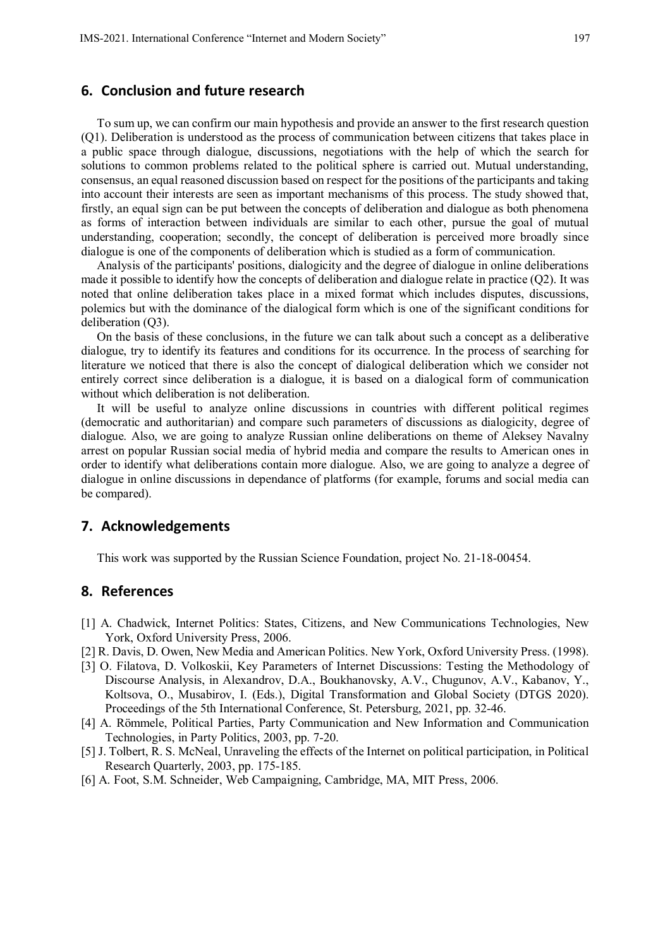#### **6. Conclusion and future research**

To sum up, we can confirm our main hypothesis and provide an answer to the first research question (Q1). Deliberation is understood as the process of communication between citizens that takes place in a public space through dialogue, discussions, negotiations with the help of which the search for solutions to common problems related to the political sphere is carried out. Mutual understanding, consensus, an equal reasoned discussion based on respect for the positions of the participants and taking into account their interests are seen as important mechanisms of this process. The study showed that, firstly, an equal sign can be put between the concepts of deliberation and dialogue as both phenomena as forms of interaction between individuals are similar to each other, pursue the goal of mutual understanding, cooperation; secondly, the concept of deliberation is perceived more broadly since dialogue is one of the components of deliberation which is studied as a form of communication.

Analysis of the participants' positions, dialogicity and the degree of dialogue in online deliberations made it possible to identify how the concepts of deliberation and dialogue relate in practice (Q2). It was noted that online deliberation takes place in a mixed format which includes disputes, discussions, polemics but with the dominance of the dialogical form which is one of the significant conditions for deliberation (Q3).

On the basis of these conclusions, in the future we can talk about such a concept as a deliberative dialogue, try to identify its features and conditions for its occurrence. In the process of searching for literature we noticed that there is also the concept of dialogical deliberation which we consider not entirely correct since deliberation is a dialogue, it is based on a dialogical form of communication without which deliberation is not deliberation.

It will be useful to analyze online discussions in countries with different political regimes (democratic and authoritarian) and compare such parameters of discussions as dialogicity, degree of dialogue. Also, we are going to analyze Russian online deliberations on theme of Aleksey Navalny arrest on popular Russian social media of hybrid media and compare the results to American ones in order to identify what deliberations contain more dialogue. Also, we are going to analyze a degree of dialogue in online discussions in dependance of platforms (for example, forums and social media can be compared).

### **7. Acknowledgements**

This work was supported by the Russian Science Foundation, project No. 21-18-00454.

## **8. References**

- [1] A. Chadwick, Internet Politics: States, Citizens, and New Communications Technologies, New York, Oxford University Press, 2006.
- [2] R. Davis, D. Owen, New Media and American Politics. New York, Oxford University Press. (1998).
- [3] O. Filatova, D. Volkoskii, Key Parameters of Internet Discussions: Testing the Methodology of Discourse Analysis, in Alexandrov, D.A., Boukhanovsky, A.V., Chugunov, A.V., Kabanov, Y., Koltsova, O., Musabirov, I. (Eds.), Digital Transformation and Global Society (DTGS 2020). Proceedings of the 5th International Conference, St. Petersburg, 2021, pp. 32-46.
- [4] A. Römmele, Political Parties, Party Communication and New Information and Communication Technologies, in Party Politics, 2003, pp. 7-20.
- [5] J. Tolbert, R. S. McNeal, Unraveling the effects of the Internet on political participation, in Political Research Quarterly, 2003, pp. 175-185.
- [6] A. Foot, S.M. Schneider, Web Campaigning, Cambridge, MA, MIT Press, 2006.